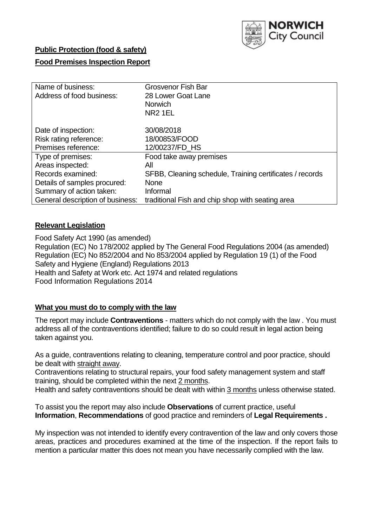

### **Public Protection (food & safety)**

### **Food Premises Inspection Report**

| Name of business:                | <b>Grosvenor Fish Bar</b>                                |
|----------------------------------|----------------------------------------------------------|
| Address of food business:        | 28 Lower Goat Lane                                       |
|                                  | <b>Norwich</b>                                           |
|                                  | NR <sub>2</sub> 1EL                                      |
| Date of inspection:              | 30/08/2018                                               |
| Risk rating reference:           | 18/00853/FOOD                                            |
| Premises reference:              | 12/00237/FD HS                                           |
| Type of premises:                | Food take away premises                                  |
| Areas inspected:                 | All                                                      |
| Records examined:                | SFBB, Cleaning schedule, Training certificates / records |
| Details of samples procured:     | <b>None</b>                                              |
| Summary of action taken:         | Informal                                                 |
| General description of business: | traditional Fish and chip shop with seating area         |

#### **Relevant Legislation**

Food Safety Act 1990 (as amended) Regulation (EC) No 178/2002 applied by The General Food Regulations 2004 (as amended) Regulation (EC) No 852/2004 and No 853/2004 applied by Regulation 19 (1) of the Food Safety and Hygiene (England) Regulations 2013 Health and Safety at Work etc. Act 1974 and related regulations Food Information Regulations 2014

### **What you must do to comply with the law**

The report may include **Contraventions** - matters which do not comply with the law . You must address all of the contraventions identified; failure to do so could result in legal action being taken against you.

As a guide, contraventions relating to cleaning, temperature control and poor practice, should be dealt with straight away.

Contraventions relating to structural repairs, your food safety management system and staff training, should be completed within the next 2 months.

Health and safety contraventions should be dealt with within 3 months unless otherwise stated.

To assist you the report may also include **Observations** of current practice, useful **Information**, **Recommendations** of good practice and reminders of **Legal Requirements .**

My inspection was not intended to identify every contravention of the law and only covers those areas, practices and procedures examined at the time of the inspection. If the report fails to mention a particular matter this does not mean you have necessarily complied with the law.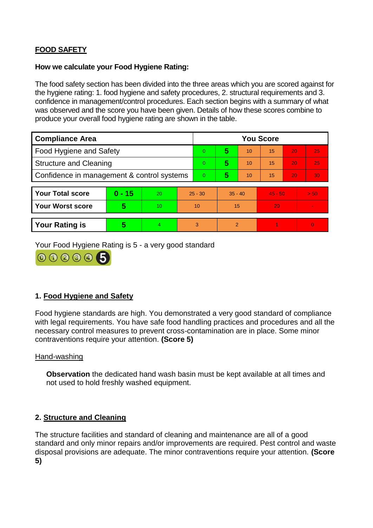# **FOOD SAFETY**

#### **How we calculate your Food Hygiene Rating:**

The food safety section has been divided into the three areas which you are scored against for the hygiene rating: 1. food hygiene and safety procedures, 2. structural requirements and 3. confidence in management/control procedures. Each section begins with a summary of what was observed and the score you have been given. Details of how these scores combine to produce your overall food hygiene rating are shown in the table.

| <b>Compliance Area</b>                     |          |    |                | <b>You Score</b> |                |    |           |    |                |  |  |
|--------------------------------------------|----------|----|----------------|------------------|----------------|----|-----------|----|----------------|--|--|
| Food Hygiene and Safety                    |          |    |                | $\Omega$         | 5              | 10 | 15        | 20 | 25             |  |  |
| <b>Structure and Cleaning</b>              |          |    | $\overline{0}$ | 5                | 10             | 15 | 20        | 25 |                |  |  |
| Confidence in management & control systems |          |    | $\Omega$       | 5                | 10             | 15 | 20        | 30 |                |  |  |
|                                            |          |    |                |                  |                |    |           |    |                |  |  |
| <b>Your Total score</b>                    | $0 - 15$ | 20 | $25 - 30$      |                  | $35 - 40$      |    | $45 - 50$ |    | > 50           |  |  |
| <b>Your Worst score</b>                    | 5        | 10 | 10             |                  | 15             |    | 20        |    | $\blacksquare$ |  |  |
|                                            |          |    |                |                  |                |    |           |    |                |  |  |
| <b>Your Rating is</b>                      | 5        | 4  | 3              |                  | $\overline{2}$ |    |           |    | $\Omega$       |  |  |

Your Food Hygiene Rating is 5 - a very good standard



# **1. Food Hygiene and Safety**

Food hygiene standards are high. You demonstrated a very good standard of compliance with legal requirements. You have safe food handling practices and procedures and all the necessary control measures to prevent cross-contamination are in place. Some minor contraventions require your attention. **(Score 5)**

#### Hand-washing

**Observation** the dedicated hand wash basin must be kept available at all times and not used to hold freshly washed equipment.

#### **2. Structure and Cleaning**

The structure facilities and standard of cleaning and maintenance are all of a good standard and only minor repairs and/or improvements are required. Pest control and waste disposal provisions are adequate. The minor contraventions require your attention. **(Score 5)**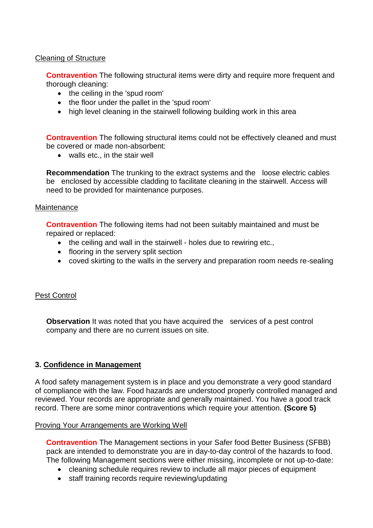### Cleaning of Structure

**Contravention** The following structural items were dirty and require more frequent and thorough cleaning:

- the ceiling in the 'spud room'
- the floor under the pallet in the 'spud room'
- high level cleaning in the stairwell following building work in this area

**Contravention** The following structural items could not be effectively cleaned and must be covered or made non-absorbent:

• walls etc., in the stair well

**Recommendation** The trunking to the extract systems and the loose electric cables be enclosed by accessible cladding to facilitate cleaning in the stairwell. Access will need to be provided for maintenance purposes.

#### Maintenance

**Contravention** The following items had not been suitably maintained and must be repaired or replaced:

- the ceiling and wall in the stairwell holes due to rewiring etc.,
- flooring in the servery split section
- coved skirting to the walls in the servery and preparation room needs re-sealing

# Pest Control

**Observation** It was noted that you have acquired the services of a pest control company and there are no current issues on site.

# **3. Confidence in Management**

A food safety management system is in place and you demonstrate a very good standard of compliance with the law. Food hazards are understood properly controlled managed and reviewed. Your records are appropriate and generally maintained. You have a good track record. There are some minor contraventions which require your attention. **(Score 5)**

#### Proving Your Arrangements are Working Well

**Contravention** The Management sections in your Safer food Better Business (SFBB) pack are intended to demonstrate you are in day-to-day control of the hazards to food. The following Management sections were either missing, incomplete or not up-to-date:

- cleaning schedule requires review to include all major pieces of equipment
- staff training records require reviewing/updating